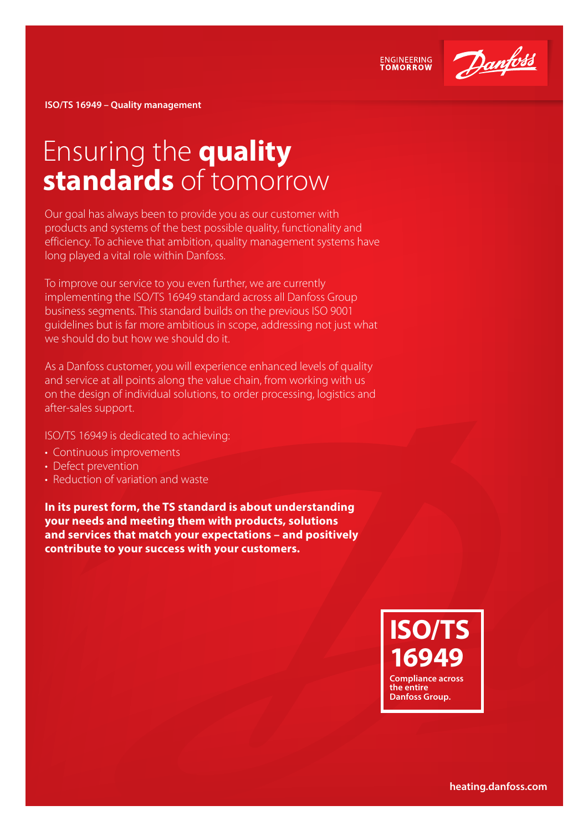

**ENGINEERING**<br>TOMORROW

**ISO/TS 16949 – Quality management**

# Ensuring the **quality standards** of tomorrow

Our goal has always been to provide you as our customer with products and systems of the best possible quality, functionality and efficiency. To achieve that ambition, quality management systems have long played a vital role within Danfoss.

To improve our service to you even further, we are currently implementing the ISO/TS 16949 standard across all Danfoss Group business segments. This standard builds on the previous ISO 9001 guidelines but is far more ambitious in scope, addressing not just what we should do but how we should do it.

As a Danfoss customer, you will experience enhanced levels of quality and service at all points along the value chain, from working with us on the design of individual solutions, to order processing, logistics and after-sales support.

ISO/TS 16949 is dedicated to achieving:

- Continuous improvements
- Defect prevention
- Reduction of variation and waste

**In its purest form, the TS standard is about understanding your needs and meeting them with products, solutions and services that match your expectations – and positively contribute to your success with your customers.**

## **ISO/TS 16949 Compliance across**

**the entire Danfoss Group.**